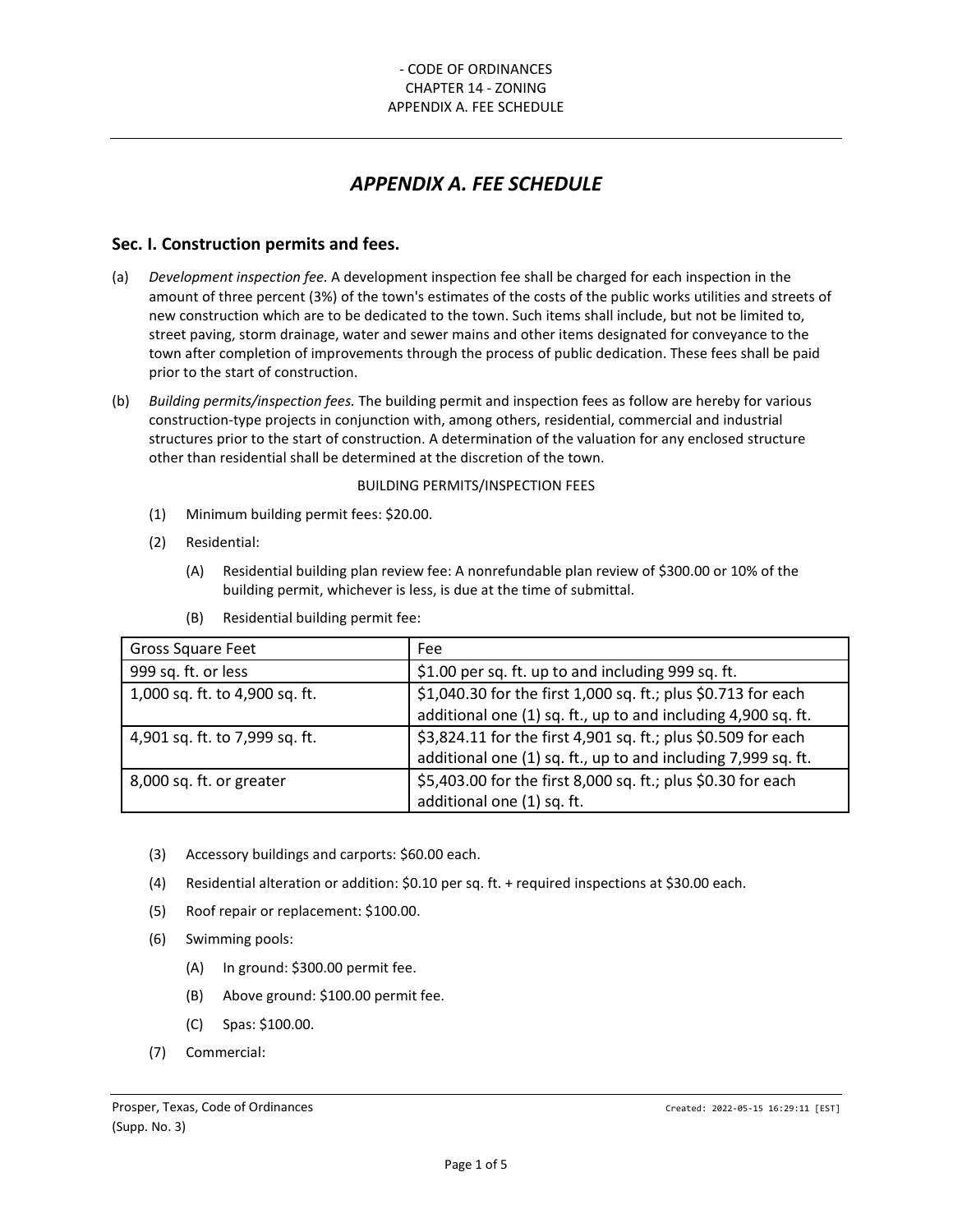# *APPENDIX A. FEE SCHEDULE*

### **Sec. I. Construction permits and fees.**

- (a) *Development inspection fee.* A development inspection fee shall be charged for each inspection in the amount of three percent (3%) of the town's estimates of the costs of the public works utilities and streets of new construction which are to be dedicated to the town. Such items shall include, but not be limited to, street paving, storm drainage, water and sewer mains and other items designated for conveyance to the town after completion of improvements through the process of public dedication. These fees shall be paid prior to the start of construction.
- (b) *Building permits/inspection fees.* The building permit and inspection fees as follow are hereby for various construction-type projects in conjunction with, among others, residential, commercial and industrial structures prior to the start of construction. A determination of the valuation for any enclosed structure other than residential shall be determined at the discretion of the town.

#### BUILDING PERMITS/INSPECTION FEES

- (1) Minimum building permit fees: \$20.00.
- (2) Residential:
	- (A) Residential building plan review fee: A nonrefundable plan review of \$300.00 or 10% of the building permit, whichever is less, is due at the time of submittal.

| Gross Square Feet              | Fee                                                           |  |
|--------------------------------|---------------------------------------------------------------|--|
| 999 sq. ft. or less            | \$1.00 per sq. ft. up to and including 999 sq. ft.            |  |
| 1,000 sq. ft. to 4,900 sq. ft. | \$1,040.30 for the first 1,000 sq. ft.; plus \$0.713 for each |  |
|                                | additional one (1) sq. ft., up to and including 4,900 sq. ft. |  |
| 4,901 sq. ft. to 7,999 sq. ft. | \$3,824.11 for the first 4,901 sq. ft.; plus \$0.509 for each |  |
|                                | additional one (1) sq. ft., up to and including 7,999 sq. ft. |  |
| 8,000 sq. ft. or greater       | \$5,403.00 for the first 8,000 sq. ft.; plus \$0.30 for each  |  |
|                                | additional one (1) sq. ft.                                    |  |

(B) Residential building permit fee:

- (3) Accessory buildings and carports: \$60.00 each.
- (4) Residential alteration or addition: \$0.10 per sq. ft. + required inspections at \$30.00 each.
- (5) Roof repair or replacement: \$100.00.
- (6) Swimming pools:
	- (A) In ground: \$300.00 permit fee.
	- (B) Above ground: \$100.00 permit fee.
	- (C) Spas: \$100.00.
- (7) Commercial: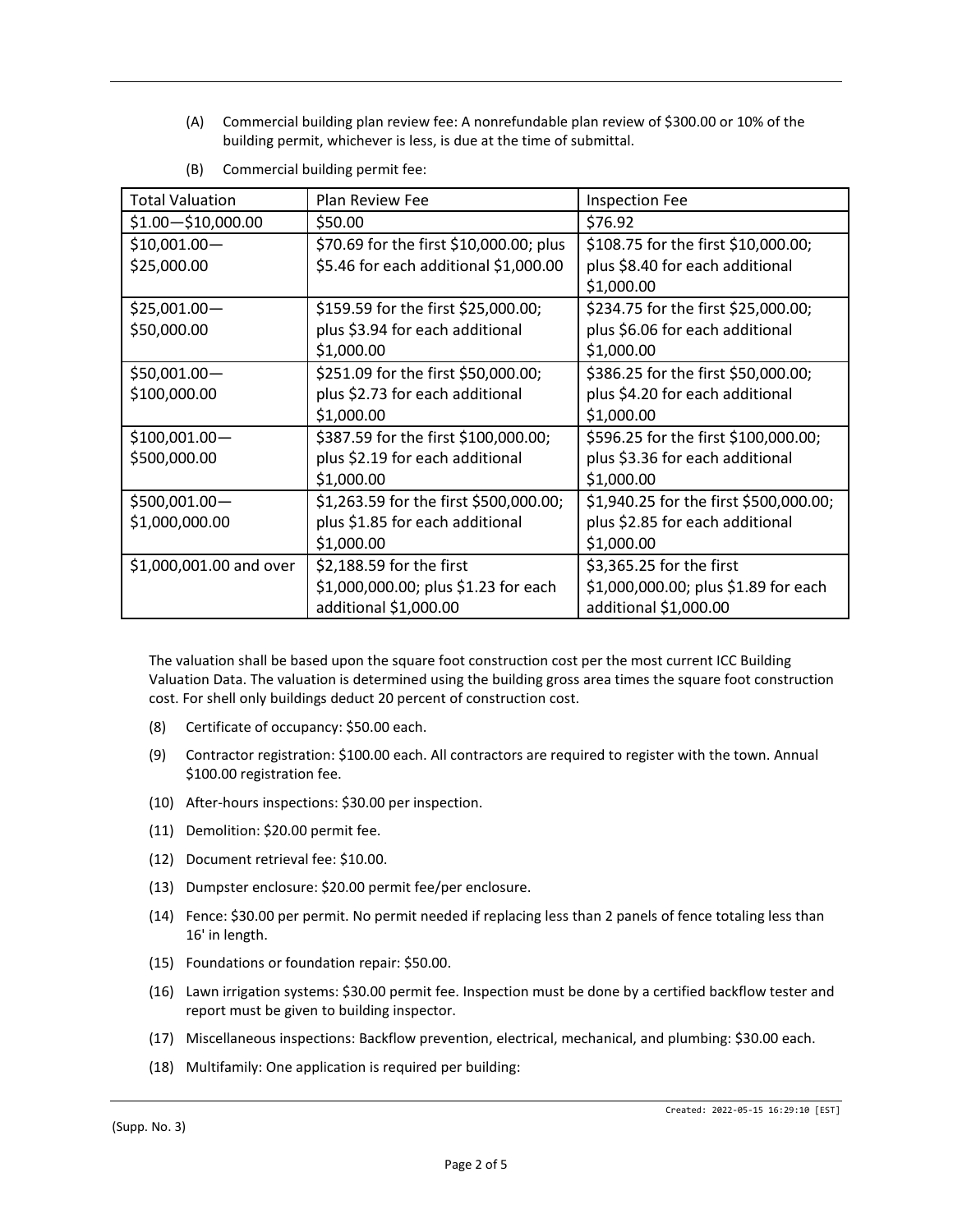(A) Commercial building plan review fee: A nonrefundable plan review of \$300.00 or 10% of the building permit, whichever is less, is due at the time of submittal.

| <b>Total Valuation</b>  | Plan Review Fee                         | <b>Inspection Fee</b>                  |
|-------------------------|-----------------------------------------|----------------------------------------|
| $$1.00 - $10,000.00$    | \$50.00                                 | \$76.92                                |
| $$10,001.00-$           | \$70.69 for the first \$10,000.00; plus | \$108.75 for the first \$10,000.00;    |
| \$25,000.00             | \$5.46 for each additional \$1,000.00   | plus \$8.40 for each additional        |
|                         |                                         | \$1,000.00                             |
| $$25,001.00-$           | \$159.59 for the first \$25,000.00;     | \$234.75 for the first \$25,000.00;    |
| \$50,000.00             | plus \$3.94 for each additional         | plus \$6.06 for each additional        |
|                         | \$1,000.00                              | \$1,000.00                             |
| $$50,001.00-$           | \$251.09 for the first \$50,000.00;     | \$386.25 for the first \$50,000.00;    |
| \$100,000.00            | plus \$2.73 for each additional         | plus \$4.20 for each additional        |
|                         | \$1,000.00                              | \$1,000.00                             |
| $$100,001.00-$          | \$387.59 for the first \$100,000.00;    | \$596.25 for the first \$100,000.00;   |
| \$500,000.00            | plus \$2.19 for each additional         | plus \$3.36 for each additional        |
|                         | \$1,000.00                              | \$1,000.00                             |
| \$500,001.00-           | \$1,263.59 for the first \$500,000.00;  | \$1,940.25 for the first \$500,000.00; |
| \$1,000,000.00          | plus \$1.85 for each additional         | plus \$2.85 for each additional        |
|                         | \$1,000.00                              | \$1,000.00                             |
| \$1,000,001.00 and over | \$2,188.59 for the first                | \$3,365.25 for the first               |
|                         | \$1,000,000.00; plus \$1.23 for each    | \$1,000,000.00; plus \$1.89 for each   |
|                         | additional \$1,000.00                   | additional \$1,000.00                  |

(B) Commercial building permit fee:

The valuation shall be based upon the square foot construction cost per the most current ICC Building Valuation Data. The valuation is determined using the building gross area times the square foot construction cost. For shell only buildings deduct 20 percent of construction cost.

- (8) Certificate of occupancy: \$50.00 each.
- (9) Contractor registration: \$100.00 each. All contractors are required to register with the town. Annual \$100.00 registration fee.
- (10) After-hours inspections: \$30.00 per inspection.
- (11) Demolition: \$20.00 permit fee.
- (12) Document retrieval fee: \$10.00.
- (13) Dumpster enclosure: \$20.00 permit fee/per enclosure.
- (14) Fence: \$30.00 per permit. No permit needed if replacing less than 2 panels of fence totaling less than 16' in length.
- (15) Foundations or foundation repair: \$50.00.
- (16) Lawn irrigation systems: \$30.00 permit fee. Inspection must be done by a certified backflow tester and report must be given to building inspector.
- (17) Miscellaneous inspections: Backflow prevention, electrical, mechanical, and plumbing: \$30.00 each.
- (18) Multifamily: One application is required per building: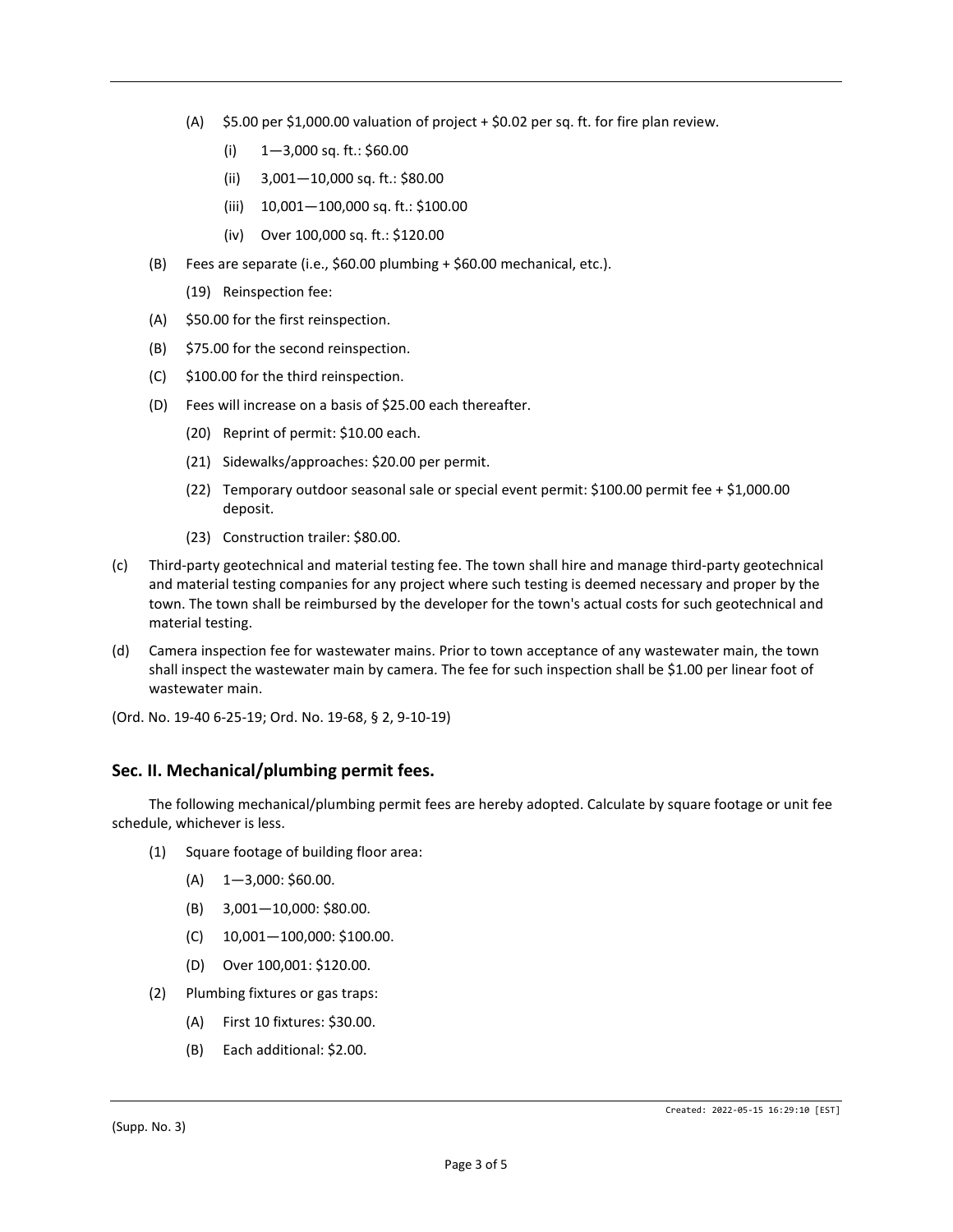- (A)  $$5.00$  per \$1,000.00 valuation of project  $+$  \$0.02 per sq. ft. for fire plan review.
	- (i)  $1-3,000$  sq. ft.: \$60.00
	- (ii) 3,001—10,000 sq. ft.: \$80.00
	- (iii) 10,001—100,000 sq. ft.: \$100.00
	- (iv) Over 100,000 sq. ft.: \$120.00
- (B) Fees are separate (i.e., \$60.00 plumbing + \$60.00 mechanical, etc.).
	- (19) Reinspection fee:
- (A) \$50.00 for the first reinspection.
- (B) \$75.00 for the second reinspection.
- (C) \$100.00 for the third reinspection.
- (D) Fees will increase on a basis of \$25.00 each thereafter.
	- (20) Reprint of permit: \$10.00 each.
	- (21) Sidewalks/approaches: \$20.00 per permit.
	- (22) Temporary outdoor seasonal sale or special event permit: \$100.00 permit fee + \$1,000.00 deposit.
	- (23) Construction trailer: \$80.00.
- (c) Third-party geotechnical and material testing fee. The town shall hire and manage third-party geotechnical and material testing companies for any project where such testing is deemed necessary and proper by the town. The town shall be reimbursed by the developer for the town's actual costs for such geotechnical and material testing.
- (d) Camera inspection fee for wastewater mains. Prior to town acceptance of any wastewater main, the town shall inspect the wastewater main by camera. The fee for such inspection shall be \$1.00 per linear foot of wastewater main.
- (Ord. No. 19-40 6-25-19; Ord. No. 19-68, § 2, 9-10-19)

## **Sec. II. Mechanical/plumbing permit fees.**

The following mechanical/plumbing permit fees are hereby adopted. Calculate by square footage or unit fee schedule, whichever is less.

- (1) Square footage of building floor area:
	- $(A)$  1-3,000: \$60.00.
	- (B) 3,001—10,000: \$80.00.
	- (C) 10,001—100,000: \$100.00.
	- (D) Over 100,001: \$120.00.
- (2) Plumbing fixtures or gas traps:
	- (A) First 10 fixtures: \$30.00.
	- (B) Each additional: \$2.00.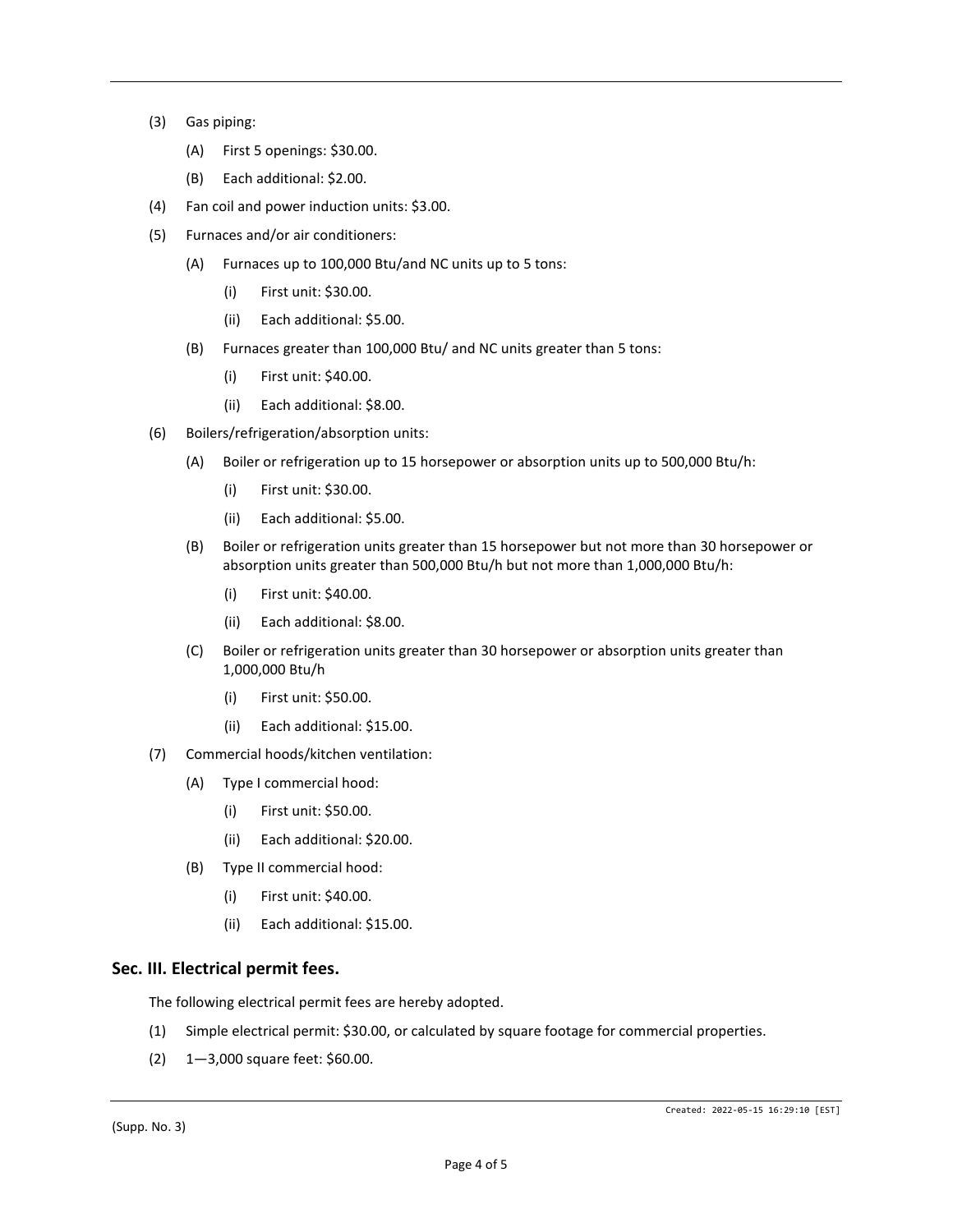- (3) Gas piping:
	- (A) First 5 openings: \$30.00.
	- (B) Each additional: \$2.00.
- (4) Fan coil and power induction units: \$3.00.
- (5) Furnaces and/or air conditioners:
	- (A) Furnaces up to 100,000 Btu/and NC units up to 5 tons:
		- (i) First unit: \$30.00.
		- (ii) Each additional: \$5.00.
	- (B) Furnaces greater than 100,000 Btu/ and NC units greater than 5 tons:
		- (i) First unit: \$40.00.
		- (ii) Each additional: \$8.00.
- (6) Boilers/refrigeration/absorption units:
	- (A) Boiler or refrigeration up to 15 horsepower or absorption units up to 500,000 Btu/h:
		- (i) First unit: \$30.00.
		- (ii) Each additional: \$5.00.
	- (B) Boiler or refrigeration units greater than 15 horsepower but not more than 30 horsepower or absorption units greater than 500,000 Btu/h but not more than 1,000,000 Btu/h:
		- (i) First unit: \$40.00.
		- (ii) Each additional: \$8.00.
	- (C) Boiler or refrigeration units greater than 30 horsepower or absorption units greater than 1,000,000 Btu/h
		- (i) First unit: \$50.00.
		- (ii) Each additional: \$15.00.
- (7) Commercial hoods/kitchen ventilation:
	- (A) Type I commercial hood:
		- (i) First unit: \$50.00.
		- (ii) Each additional: \$20.00.
	- (B) Type II commercial hood:
		- (i) First unit: \$40.00.
		- (ii) Each additional: \$15.00.

#### **Sec. III. Electrical permit fees.**

The following electrical permit fees are hereby adopted.

- (1) Simple electrical permit: \$30.00, or calculated by square footage for commercial properties.
- (2) 1—3,000 square feet: \$60.00.